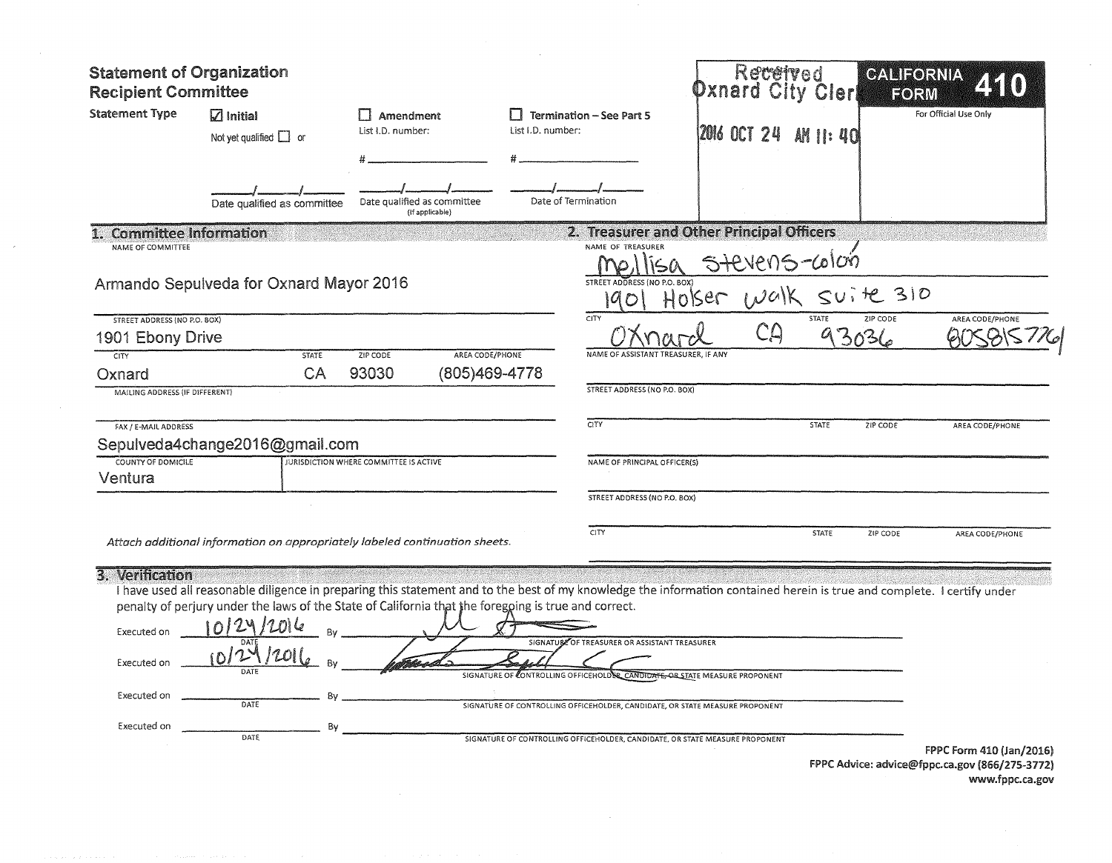| <b>Statement of Organization</b><br><b>Recipient Committee</b>              |                                                                                                                                  |                                                |                                                                                                                                                                                                                                                                                                                                                                                                                                                                         | Received<br>Oxnard                                         | Clerl        | CALIFORNIA<br>EORM          |
|-----------------------------------------------------------------------------|----------------------------------------------------------------------------------------------------------------------------------|------------------------------------------------|-------------------------------------------------------------------------------------------------------------------------------------------------------------------------------------------------------------------------------------------------------------------------------------------------------------------------------------------------------------------------------------------------------------------------------------------------------------------------|------------------------------------------------------------|--------------|-----------------------------|
| <b>Statement Type</b>                                                       | $\sqrt{2}$ Initial<br>Not yet qualified $\Box$ or                                                                                | l 1 Amendment<br>List I.D. number:             | <b>Termination - See Part 5</b><br>List I.D. number:                                                                                                                                                                                                                                                                                                                                                                                                                    | <b>12016 OCT 24</b>                                        | AH 11: 40    | For Official Use Only       |
|                                                                             | Date qualified as committee                                                                                                      | Date qualified as committee<br>(if applicable) | Date of Termination                                                                                                                                                                                                                                                                                                                                                                                                                                                     |                                                            |              |                             |
| 1. Committee Information<br>NAME OF COMMITTEE                               |                                                                                                                                  |                                                | NAME OF TREASURER                                                                                                                                                                                                                                                                                                                                                                                                                                                       | 2. Treasurer and Other Principal Officers<br>STEVENS-COLOG |              |                             |
|                                                                             | Armando Sepulveda for Oxnard Mayor 2016                                                                                          |                                                | STREET ADDRESS (NO P.O. BOX)                                                                                                                                                                                                                                                                                                                                                                                                                                            | Holser walk                                                | $SUIAC}$ 310 |                             |
| STREET ADDRESS (NO P.O. BOX)                                                |                                                                                                                                  |                                                | CITY                                                                                                                                                                                                                                                                                                                                                                                                                                                                    | CA                                                         | STATE        | ZIP CODE<br>AREA CODE/PHONE |
| 1901 Ebony Drive<br>CITY                                                    | <b>STATE</b>                                                                                                                     | AREA CODE/PHONE<br>ZIP CODE                    | NAME OF ASSISTANT TREASURER. IF ANY                                                                                                                                                                                                                                                                                                                                                                                                                                     |                                                            | 93036        |                             |
| Oxnard                                                                      | CA                                                                                                                               | 93030                                          | (805)469-4778                                                                                                                                                                                                                                                                                                                                                                                                                                                           |                                                            |              |                             |
| MAILING ADDRESS (IF DIFFERENT)                                              |                                                                                                                                  |                                                | STREET ADDRESS (NO P.O. BOX)                                                                                                                                                                                                                                                                                                                                                                                                                                            |                                                            |              |                             |
| FAX / E-MAIL ADDRESS                                                        |                                                                                                                                  |                                                | CITY                                                                                                                                                                                                                                                                                                                                                                                                                                                                    |                                                            | <b>STATE</b> | ZIP CODE<br>AREA CODE/PHONE |
|                                                                             | Sepulveda4change2016@gmail.com                                                                                                   |                                                |                                                                                                                                                                                                                                                                                                                                                                                                                                                                         |                                                            |              |                             |
| COUNTY OF DOMICILE<br>Ventura                                               |                                                                                                                                  | JURISDICTION WHERE COMMITTEE IS ACTIVE         | NAME OF PRINCIPAL OFFICER(S)                                                                                                                                                                                                                                                                                                                                                                                                                                            |                                                            |              |                             |
|                                                                             |                                                                                                                                  |                                                | STREET ADDRESS (NO P.O. BOX)                                                                                                                                                                                                                                                                                                                                                                                                                                            |                                                            |              |                             |
|                                                                             | Attach additional information on appropriately labeled continuation sheets.                                                      |                                                | <b>CITY</b>                                                                                                                                                                                                                                                                                                                                                                                                                                                             |                                                            | <b>STATE</b> | ZIP CODE<br>AREA CODE/PHONE |
| 3. Verification<br>Executed on<br>Executed on<br>Executed on<br>Executed on | penalty of perjury under the laws of the State of California that the foregping is true and correct.<br>Bν<br>DATE<br>Bv<br>DATE |                                                | I have used all reasonable diligence in preparing this statement and to the best of my knowledge the information contained herein is true and complete. I certify under<br>SIGNATURE OF TREASURER OR ASSISTANT TREASURER<br>SIGNATURE OF CONTROLLING OFFICEHOLDER CANDIDATE, OR STATE MEASURE PROPONENT<br>SIGNATURE OF CONTROLLING OFFICEHOLDER, CANDIDATE, OR STATE MEASURE PROPONENT<br>SIGNATURE OF CONTROLLING OFFICEHOLDER, CANDIDATE, OR STATE MEASURE PROPONENT |                                                            |              | FPPC Form 410 (Jan/2016)    |

 $\sim$ 

 $\epsilon$ 

 $\mathcal{L}^{\mathcal{L}}$ 

FPPC Advice: advice@fppc.ca.gov (866/275-3772) www.fppc.ca.gov